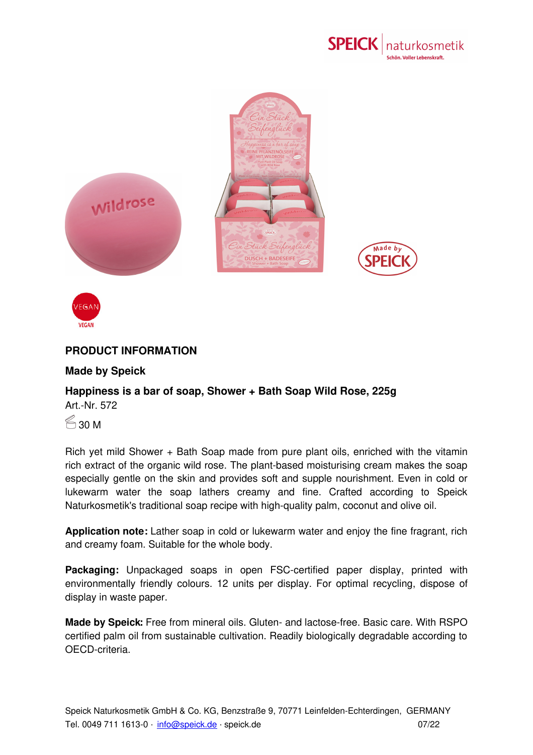



## **PRODUCT INFORMATION**

## **Made by Speick**

## **Happiness is a bar of soap, Shower + Bath Soap Wild Rose, 225g** Art.-Nr. 572

 $\approx$  30 M

**VEGAN** 

Rich yet mild Shower + Bath Soap made from pure plant oils, enriched with the vitamin rich extract of the organic wild rose. The plant-based moisturising cream makes the soap especially gentle on the skin and provides soft and supple nourishment. Even in cold or lukewarm water the soap lathers creamy and fine. Crafted according to Speick Naturkosmetik's traditional soap recipe with high-quality palm, coconut and olive oil.

**Application note:** Lather soap in cold or lukewarm water and enjoy the fine fragrant, rich and creamy foam. Suitable for the whole body.

**Packaging:** Unpackaged soaps in open FSC-certified paper display, printed with environmentally friendly colours. 12 units per display. For optimal recycling, dispose of display in waste paper.

**Made by Speick:** Free from mineral oils. Gluten- and lactose-free. Basic care. With RSPO certified palm oil from [sustainable](mailto:info@speick.de) cultivation. Readily biologically degradable according to OECD-criteria.